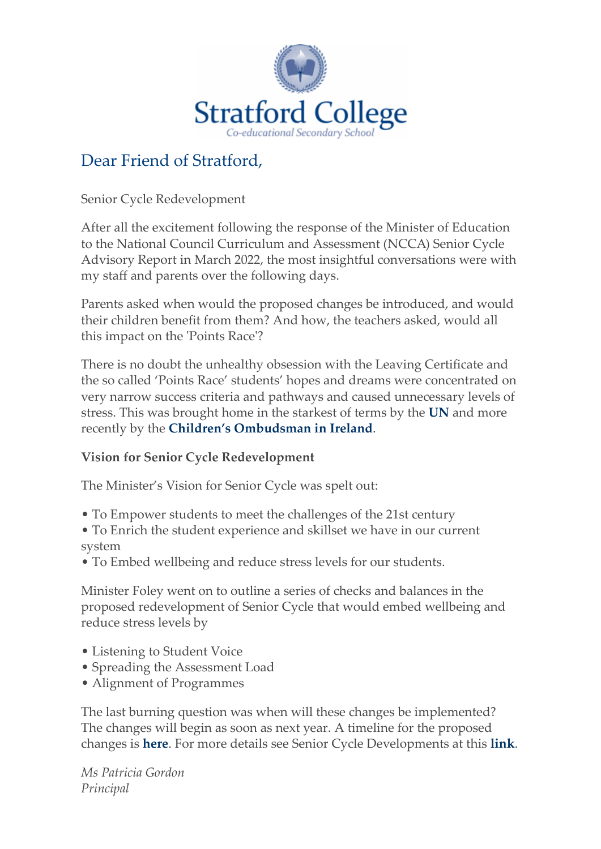

# Dear Friend of Stratford,

Senior Cycle Redevelopment

After all the excitement following the response of the Minister of Education to the National Council Curriculum and Assessment (NCCA) Senior Cycle Advisory Report in March 2022, the most insightful conversations were with my staff and parents over the following days.

Parents asked when would the proposed changes be introduced, and would their children benefit from them? And how, the teachers asked, would all this impact on the 'Points Race'?

There is no doubt the unhealthy obsession with the Leaving Certificate and the so called 'Points Race' students' hopes and dreams were concentrated on very narrow success criteria and pathways and caused unnecessary levels of stress. This was brought home in the starkest of terms by the **[UN](https://newsletters.stratfordcollege.ie/t/y-l-bkiyke-l-q/)** and more recently by the **[Children's Ombudsman in Ireland](https://newsletters.stratfordcollege.ie/t/y-l-bkiyke-l-a/)**.

#### **Vision for Senior Cycle Redevelopment**

The Minister's Vision for Senior Cycle was spelt out:

- To Empower students to meet the challenges of the 21st century
- To Enrich the student experience and skillset we have in our current system
- To Embed wellbeing and reduce stress levels for our students.

Minister Foley went on to outline a series of checks and balances in the proposed redevelopment of Senior Cycle that would embed wellbeing and reduce stress levels by

- Listening to Student Voice
- Spreading the Assessment Load
- Alignment of Programmes

The last burning question was when will these changes be implemented? The changes will begin as soon as next year. A timeline for the proposed changes is **[here](https://newsletters.stratfordcollege.ie/t/y-l-bkiyke-l-f/)**. For more details see Senior Cycle Developments at this **[link](https://newsletters.stratfordcollege.ie/t/y-l-bkiyke-l-z/)**.

*Ms Patricia Gordon Principal*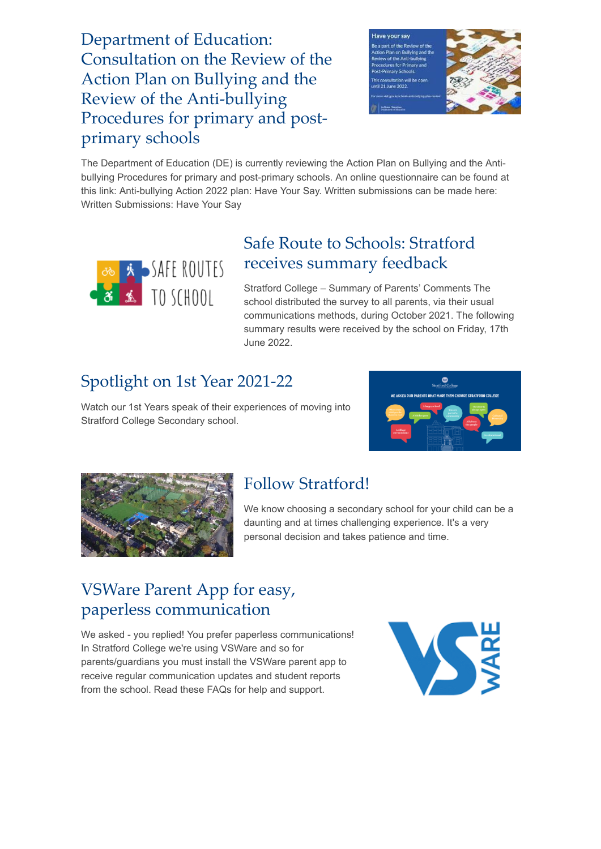Department of Education: [Consultation on the Review of the](https://newsletters.stratfordcollege.ie/t/y-l-bkiyke-l-e/) Action Plan on Bullying and the Review of the Anti-bullying Procedures for primary and postprimary schools



The Department of Education (DE) is currently reviewing the Action Plan on Bullying and the Antibullying Procedures for primary and post-primary schools. An online questionnaire can be found at this link: Anti-bullying Action 2022 plan: Have Your Say. Written submissions can be made here: Written Submissions: Have Your Say



#### [Safe Route to Schools: Stratford](https://newsletters.stratfordcollege.ie/t/y-l-bkiyke-l-w/) receives summary feedback

Stratford College – Summary of Parents' Comments The school distributed the survey to all parents, via their usual communications methods, during October 2021. The following summary results were received by the school on Friday, 17th June 2022.

# [Spotlight on 1st Year 2021-22](https://newsletters.stratfordcollege.ie/t/y-l-bkiyke-l-yk/)

Watch our 1st Years speak of their experiences of moving into Stratford College Secondary school.





# [Follow Stratford!](https://newsletters.stratfordcollege.ie/t/y-l-bkiyke-l-jr/)

We know choosing a secondary school for your child can be a daunting and at times challenging experience. It's a very personal decision and takes patience and time.

# [VSWare Parent App for easy,](https://newsletters.stratfordcollege.ie/t/y-l-bkiyke-l-jt/) paperless communication

We asked - you replied! You prefer paperless communications! In Stratford College we're using VSWare and so for parents/guardians you must install the VSWare parent app to receive regular communication updates and student reports from the school. Read these FAQs for help and support.

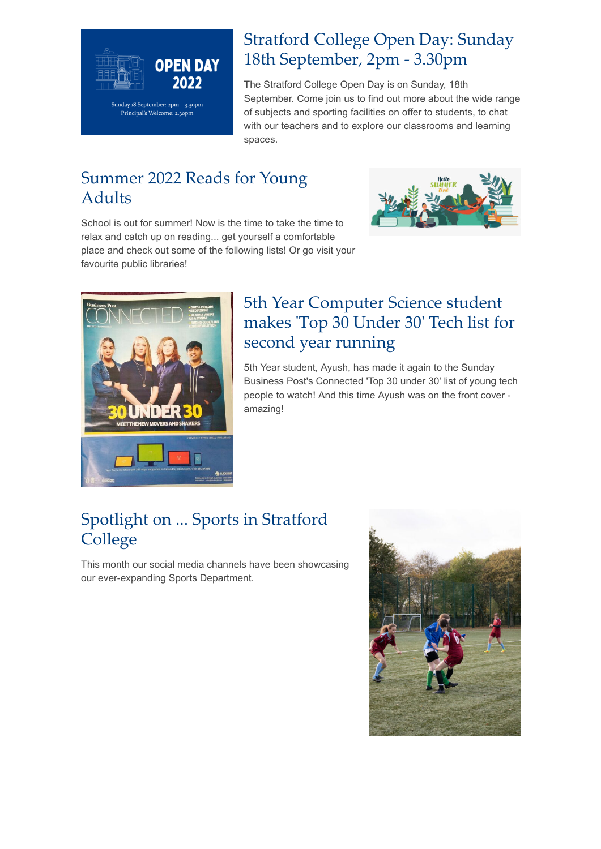

## [Stratford College Open Day: Sunday](https://newsletters.stratfordcollege.ie/t/y-l-bkiyke-l-jh/) 18th September, 2pm - 3.30pm

The Stratford College Open Day is on Sunday, 18th September. Come join us to find out more about the wide range of subjects and sporting facilities on offer to students, to chat with our teachers and to explore our classrooms and learning spaces.

# [Summer 2022 Reads for Young](https://newsletters.stratfordcollege.ie/t/y-l-bkiyke-l-tl/) Adults



School is out for summer! Now is the time to take the time to relax and catch up on reading... get yourself a comfortable place and check out some of the following lists! Or go visit your favourite public libraries!



### 5th Year Computer Science student [makes 'Top 30 Under 30' Tech list for](https://newsletters.stratfordcollege.ie/t/y-l-bkiyke-l-tj/) second year running

5th Year student, Ayush, has made it again to the Sunday Business Post's Connected 'Top 30 under 30' list of young tech people to watch! And this time Ayush was on the front cover amazing!

# [Spotlight on ... Sports in Stratford](https://newsletters.stratfordcollege.ie/t/y-l-bkiyke-l-td/) **College**

This month our social media channels have been showcasing our ever-expanding Sports Department.